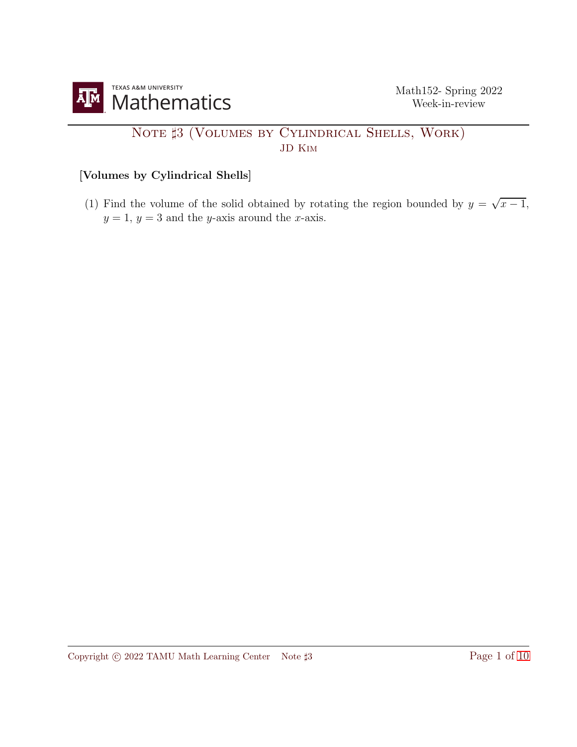

## NOTE  $\sharp 3$  (VOLUMES BY CYLINDRICAL SHELLS, WORK) JD Kim

## [Volumes by Cylindrical Shells]

(1) Find the volume of the solid obtained by rotating the region bounded by  $y = \sqrt{x-1}$ ,  $y = 1$ ,  $y = 3$  and the y-axis around the x-axis.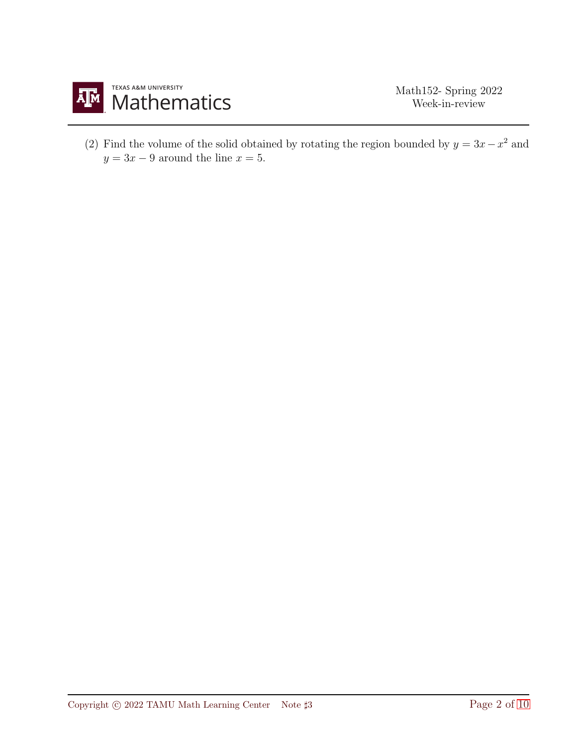

(2) Find the volume of the solid obtained by rotating the region bounded by  $y = 3x - x^2$  and  $y = 3x - 9$  around the line  $x = 5$ .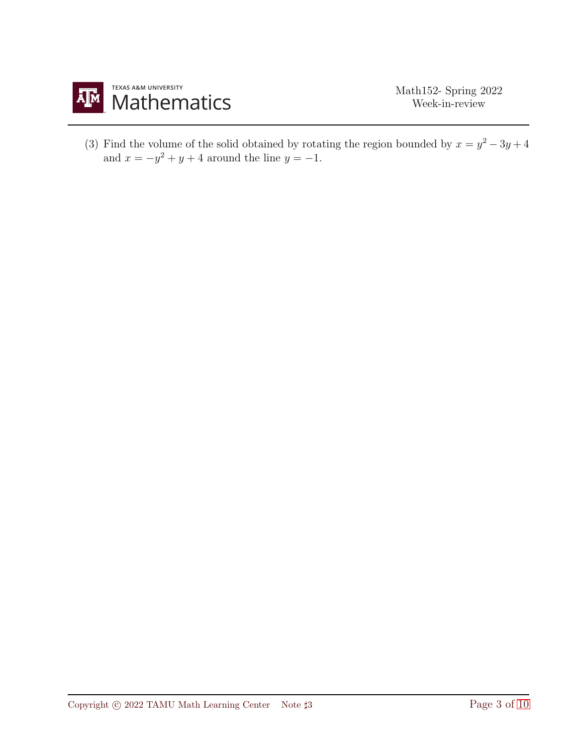

(3) Find the volume of the solid obtained by rotating the region bounded by  $x = y^2 - 3y + 4$ and  $x = -y^2 + y + 4$  around the line  $y = -1$ .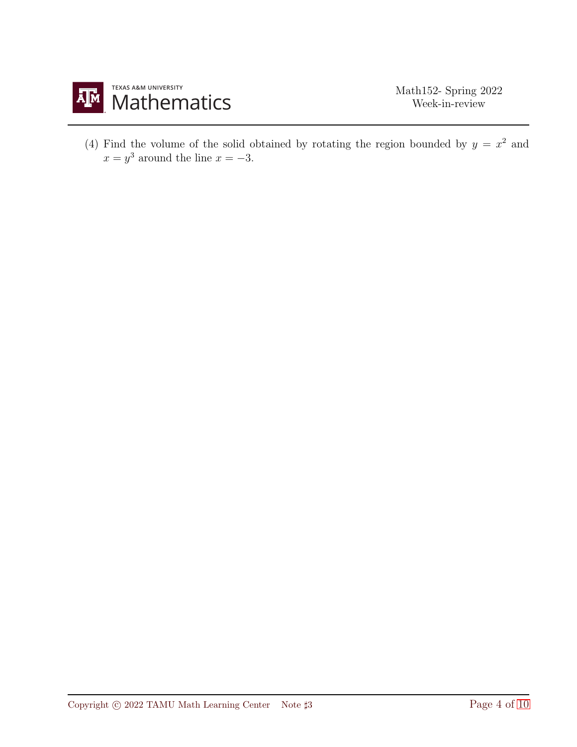

(4) Find the volume of the solid obtained by rotating the region bounded by  $y = x^2$  and  $x = y^3$  around the line  $x = -3$ .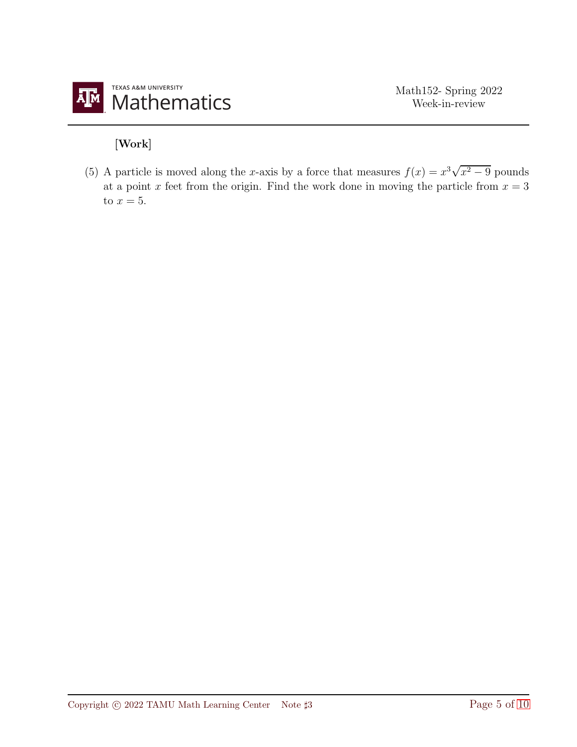

## [Work]

(5) A particle is moved along the x-axis by a force that measures  $f(x) = x^3\sqrt{x^2 - 9}$  pounds at a point x feet from the origin. Find the work done in moving the particle from  $x = 3$ to  $x=5$ .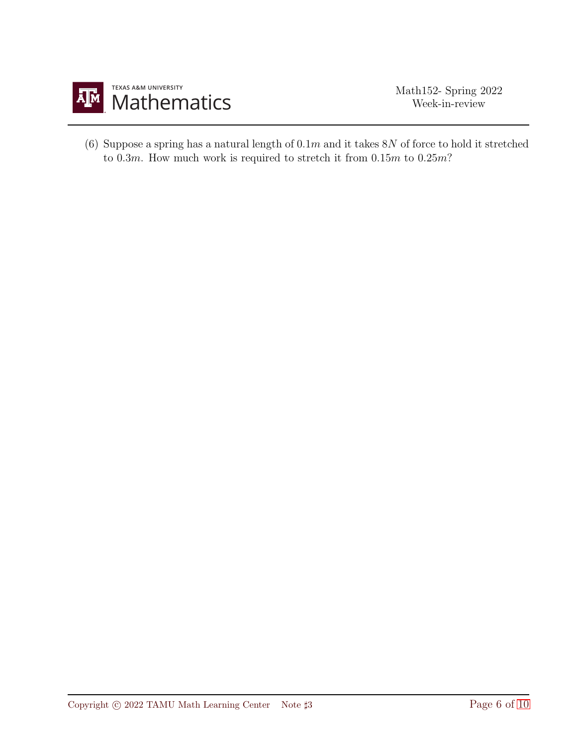

(6) Suppose a spring has a natural length of  $0.1m$  and it takes  $8N$  of force to hold it stretched to  $0.3m$ . How much work is required to stretch it from  $0.15m$  to  $0.25m$ ?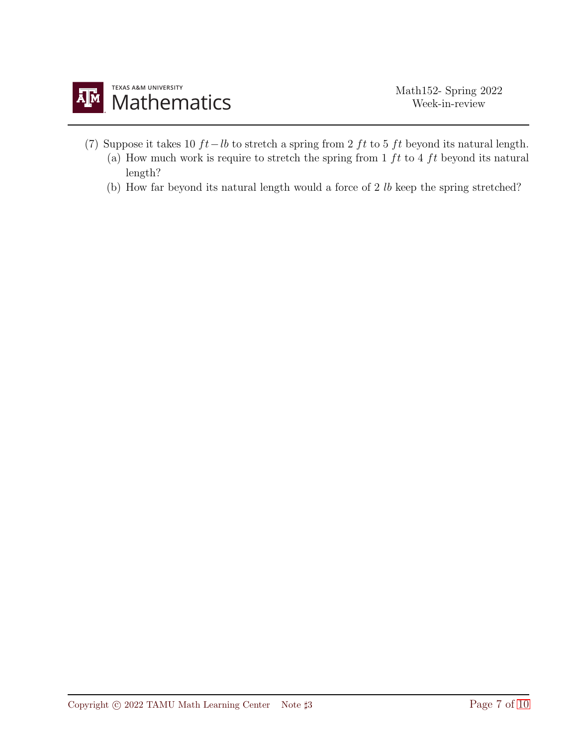- (7) Suppose it takes 10  $ft-lb$  to stretch a spring from 2  $ft$  to 5  $ft$  beyond its natural length.
	- (a) How much work is require to stretch the spring from  $1 \, ft$  to  $4 \, ft$  beyond its natural length?
	- (b) How far beyond its natural length would a force of 2 lb keep the spring stretched?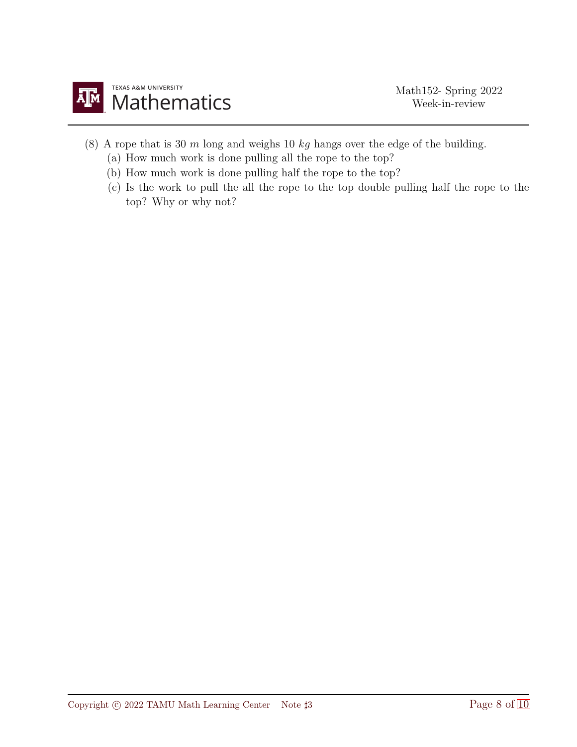

- (8) A rope that is 30  $m$  long and weighs 10  $kg$  hangs over the edge of the building.
	- (a) How much work is done pulling all the rope to the top?
	- (b) How much work is done pulling half the rope to the top?
	- (c) Is the work to pull the all the rope to the top double pulling half the rope to the top? Why or why not?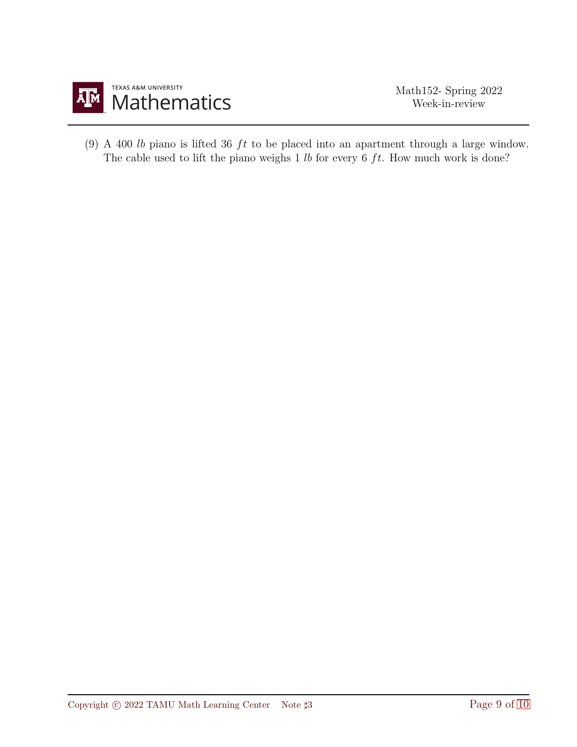

(9) A 400  $lb$  piano is lifted 36  $ft$  to be placed into an apartment through a large window. The cable used to lift the piano weighs  $1 lb$  for every  $6 ft$ . How much work is done?